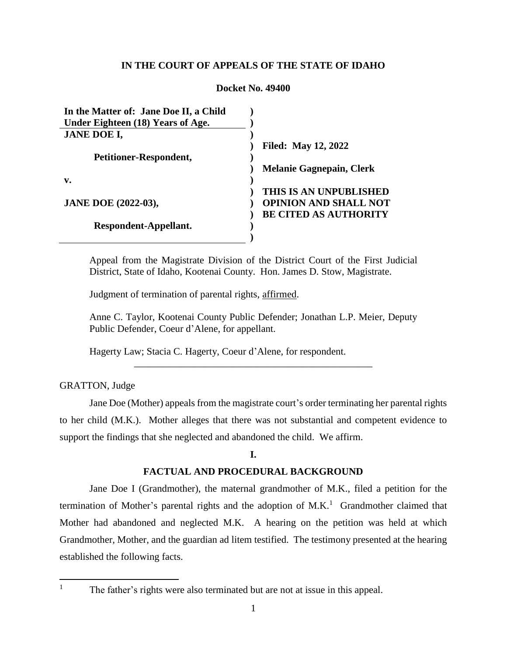# **IN THE COURT OF APPEALS OF THE STATE OF IDAHO**

### **Docket No. 49400**

| In the Matter of: Jane Doe II, a Child |                                 |
|----------------------------------------|---------------------------------|
| Under Eighteen (18) Years of Age.      |                                 |
| <b>JANE DOE I,</b>                     |                                 |
|                                        | <b>Filed: May 12, 2022</b>      |
| Petitioner-Respondent,                 |                                 |
|                                        | <b>Melanie Gagnepain, Clerk</b> |
| v.                                     |                                 |
|                                        | THIS IS AN UNPUBLISHED          |
| <b>JANE DOE (2022-03),</b>             | <b>OPINION AND SHALL NOT</b>    |
|                                        | <b>BE CITED AS AUTHORITY</b>    |
| Respondent-Appellant.                  |                                 |
|                                        |                                 |

Appeal from the Magistrate Division of the District Court of the First Judicial District, State of Idaho, Kootenai County. Hon. James D. Stow, Magistrate.

Judgment of termination of parental rights, affirmed.

Anne C. Taylor, Kootenai County Public Defender; Jonathan L.P. Meier, Deputy Public Defender, Coeur d'Alene, for appellant.

\_\_\_\_\_\_\_\_\_\_\_\_\_\_\_\_\_\_\_\_\_\_\_\_\_\_\_\_\_\_\_\_\_\_\_\_\_\_\_\_\_\_\_\_\_\_\_\_

Hagerty Law; Stacia C. Hagerty, Coeur d'Alene, for respondent.

# GRATTON, Judge

Jane Doe (Mother) appeals from the magistrate court's order terminating her parental rights to her child (M.K.). Mother alleges that there was not substantial and competent evidence to support the findings that she neglected and abandoned the child. We affirm.

# **I.**

# **FACTUAL AND PROCEDURAL BACKGROUND**

Jane Doe I (Grandmother), the maternal grandmother of M.K., filed a petition for the termination of Mother's parental rights and the adoption of  $M.K.<sup>1</sup>$  Grandmother claimed that Mother had abandoned and neglected M.K. A hearing on the petition was held at which Grandmother, Mother, and the guardian ad litem testified. The testimony presented at the hearing established the following facts.

 $\mathbf{1}$ 

The father's rights were also terminated but are not at issue in this appeal.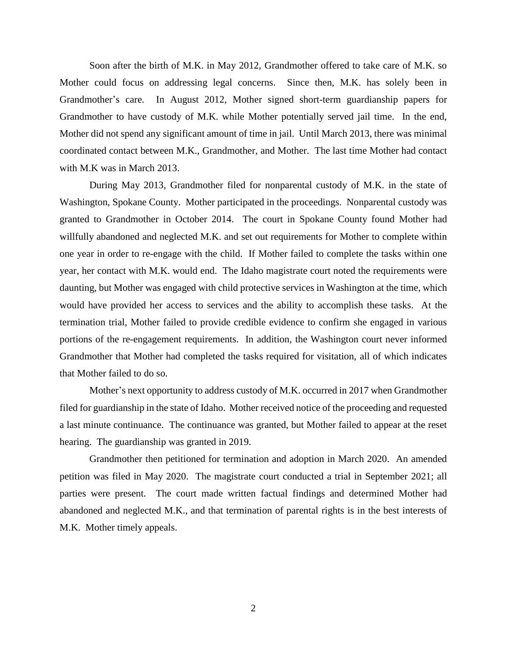Soon after the birth of M.K. in May 2012, Grandmother offered to take care of M.K. so Mother could focus on addressing legal concerns. Since then, M.K. has solely been in Grandmother's care. In August 2012, Mother signed short-term guardianship papers for Grandmother to have custody of M.K. while Mother potentially served jail time. In the end, Mother did not spend any significant amount of time in jail. Until March 2013, there was minimal coordinated contact between M.K., Grandmother, and Mother. The last time Mother had contact with M.K was in March 2013.

During May 2013, Grandmother filed for nonparental custody of M.K. in the state of Washington, Spokane County. Mother participated in the proceedings. Nonparental custody was granted to Grandmother in October 2014. The court in Spokane County found Mother had willfully abandoned and neglected M.K. and set out requirements for Mother to complete within one year in order to re-engage with the child. If Mother failed to complete the tasks within one year, her contact with M.K. would end. The Idaho magistrate court noted the requirements were daunting, but Mother was engaged with child protective services in Washington at the time, which would have provided her access to services and the ability to accomplish these tasks. At the termination trial, Mother failed to provide credible evidence to confirm she engaged in various portions of the re-engagement requirements. In addition, the Washington court never informed Grandmother that Mother had completed the tasks required for visitation, all of which indicates that Mother failed to do so.

Mother's next opportunity to address custody of M.K. occurred in 2017 when Grandmother filed for guardianship in the state of Idaho. Mother received notice of the proceeding and requested a last minute continuance. The continuance was granted, but Mother failed to appear at the reset hearing. The guardianship was granted in 2019.

Grandmother then petitioned for termination and adoption in March 2020. An amended petition was filed in May 2020. The magistrate court conducted a trial in September 2021; all parties were present. The court made written factual findings and determined Mother had abandoned and neglected M.K., and that termination of parental rights is in the best interests of M.K. Mother timely appeals.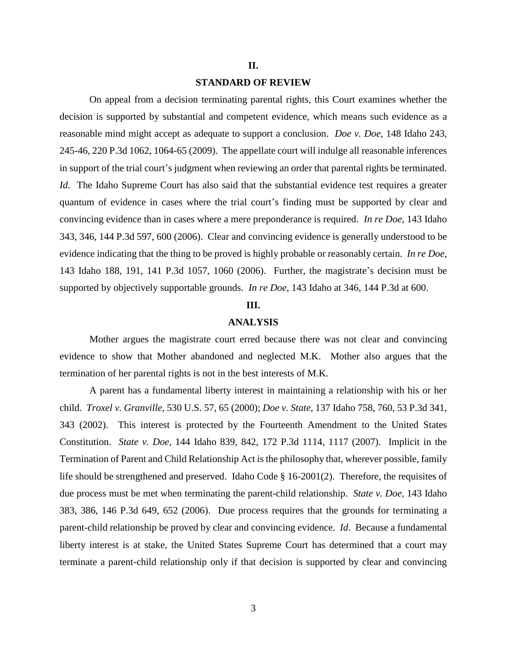#### **II.**

#### **STANDARD OF REVIEW**

On appeal from a decision terminating parental rights, this Court examines whether the decision is supported by substantial and competent evidence, which means such evidence as a reasonable mind might accept as adequate to support a conclusion. *Doe v. Doe*, 148 Idaho 243, 245-46, 220 P.3d 1062, 1064-65 (2009). The appellate court will indulge all reasonable inferences in support of the trial court's judgment when reviewing an order that parental rights be terminated. *Id.* The Idaho Supreme Court has also said that the substantial evidence test requires a greater quantum of evidence in cases where the trial court's finding must be supported by clear and convincing evidence than in cases where a mere preponderance is required. *In re Doe*, 143 Idaho 343, 346, 144 P.3d 597, 600 (2006). Clear and convincing evidence is generally understood to be evidence indicating that the thing to be proved is highly probable or reasonably certain. *In re Doe*, 143 Idaho 188, 191, 141 P.3d 1057, 1060 (2006). Further, the magistrate's decision must be supported by objectively supportable grounds. *In re Doe*, 143 Idaho at 346, 144 P.3d at 600.

# **III.**

#### **ANALYSIS**

Mother argues the magistrate court erred because there was not clear and convincing evidence to show that Mother abandoned and neglected M.K. Mother also argues that the termination of her parental rights is not in the best interests of M.K.

A parent has a fundamental liberty interest in maintaining a relationship with his or her child. *Troxel v. Granville*, 530 U.S. 57, 65 (2000); *Doe v. State*, 137 Idaho 758, 760, 53 P.3d 341, 343 (2002). This interest is protected by the Fourteenth Amendment to the United States Constitution. *State v. Doe*, 144 Idaho 839, 842, 172 P.3d 1114, 1117 (2007). Implicit in the Termination of Parent and Child Relationship Act is the philosophy that, wherever possible, family life should be strengthened and preserved. Idaho Code § 16-2001(2). Therefore, the requisites of due process must be met when terminating the parent-child relationship. *State v. Doe*, 143 Idaho 383, 386, 146 P.3d 649, 652 (2006). Due process requires that the grounds for terminating a parent-child relationship be proved by clear and convincing evidence. *Id*. Because a fundamental liberty interest is at stake, the United States Supreme Court has determined that a court may terminate a parent-child relationship only if that decision is supported by clear and convincing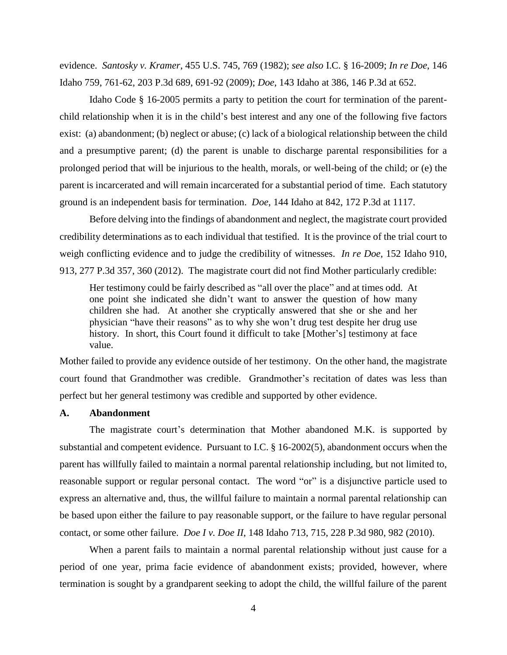evidence. *Santosky v. Kramer*, 455 U.S. 745, 769 (1982); *see also* I.C. § 16-2009; *In re Doe*, 146 Idaho 759, 761-62, 203 P.3d 689, 691-92 (2009); *Doe*, 143 Idaho at 386, 146 P.3d at 652.

Idaho Code § 16-2005 permits a party to petition the court for termination of the parentchild relationship when it is in the child's best interest and any one of the following five factors exist: (a) abandonment; (b) neglect or abuse; (c) lack of a biological relationship between the child and a presumptive parent; (d) the parent is unable to discharge parental responsibilities for a prolonged period that will be injurious to the health, morals, or well-being of the child; or (e) the parent is incarcerated and will remain incarcerated for a substantial period of time. Each statutory ground is an independent basis for termination. *Doe*, 144 Idaho at 842, 172 P.3d at 1117.

Before delving into the findings of abandonment and neglect, the magistrate court provided credibility determinations as to each individual that testified. It is the province of the trial court to weigh conflicting evidence and to judge the credibility of witnesses. *In re Doe*, 152 Idaho 910, 913, 277 P.3d 357, 360 (2012). The magistrate court did not find Mother particularly credible:

Her testimony could be fairly described as "all over the place" and at times odd. At one point she indicated she didn't want to answer the question of how many children she had. At another she cryptically answered that she or she and her physician "have their reasons" as to why she won't drug test despite her drug use history. In short, this Court found it difficult to take [Mother's] testimony at face value.

Mother failed to provide any evidence outside of her testimony. On the other hand, the magistrate court found that Grandmother was credible. Grandmother's recitation of dates was less than perfect but her general testimony was credible and supported by other evidence.

#### **A. Abandonment**

The magistrate court's determination that Mother abandoned M.K. is supported by substantial and competent evidence. Pursuant to I.C. § 16-2002(5), abandonment occurs when the parent has willfully failed to maintain a normal parental relationship including, but not limited to, reasonable support or regular personal contact. The word "or" is a disjunctive particle used to express an alternative and, thus, the willful failure to maintain a normal parental relationship can be based upon either the failure to pay reasonable support, or the failure to have regular personal contact, or some other failure. *Doe I v. Doe II*, 148 Idaho 713, 715, 228 P.3d 980, 982 (2010).

When a parent fails to maintain a normal parental relationship without just cause for a period of one year, prima facie evidence of abandonment exists; provided, however, where termination is sought by a grandparent seeking to adopt the child, the willful failure of the parent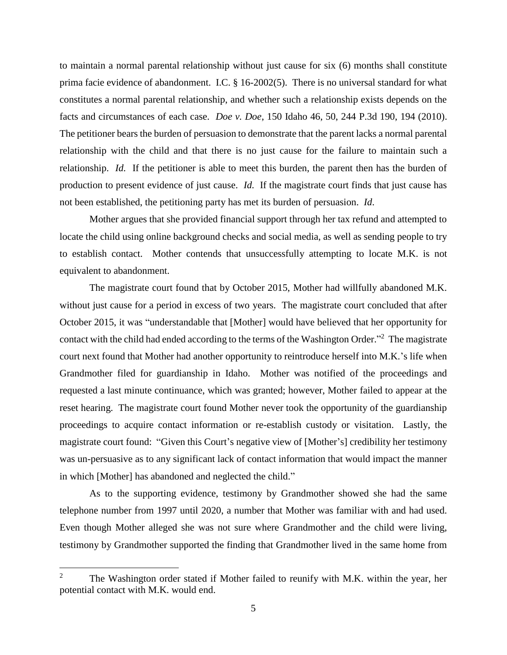to maintain a normal parental relationship without just cause for six (6) months shall constitute prima facie evidence of abandonment. I.C. § 16-2002(5). There is no universal standard for what constitutes a normal parental relationship, and whether such a relationship exists depends on the facts and circumstances of each case. *Doe v. Doe*, 150 Idaho 46, 50, 244 P.3d 190, 194 (2010). The petitioner bears the burden of persuasion to demonstrate that the parent lacks a normal parental relationship with the child and that there is no just cause for the failure to maintain such a relationship. *Id.* If the petitioner is able to meet this burden, the parent then has the burden of production to present evidence of just cause. *Id.* If the magistrate court finds that just cause has not been established, the petitioning party has met its burden of persuasion. *Id*.

Mother argues that she provided financial support through her tax refund and attempted to locate the child using online background checks and social media, as well as sending people to try to establish contact. Mother contends that unsuccessfully attempting to locate M.K. is not equivalent to abandonment.

The magistrate court found that by October 2015, Mother had willfully abandoned M.K. without just cause for a period in excess of two years. The magistrate court concluded that after October 2015, it was "understandable that [Mother] would have believed that her opportunity for contact with the child had ended according to the terms of the Washington Order."<sup>2</sup> The magistrate court next found that Mother had another opportunity to reintroduce herself into M.K.'s life when Grandmother filed for guardianship in Idaho. Mother was notified of the proceedings and requested a last minute continuance, which was granted; however, Mother failed to appear at the reset hearing. The magistrate court found Mother never took the opportunity of the guardianship proceedings to acquire contact information or re-establish custody or visitation. Lastly, the magistrate court found: "Given this Court's negative view of [Mother's] credibility her testimony was un-persuasive as to any significant lack of contact information that would impact the manner in which [Mother] has abandoned and neglected the child."

As to the supporting evidence, testimony by Grandmother showed she had the same telephone number from 1997 until 2020, a number that Mother was familiar with and had used. Even though Mother alleged she was not sure where Grandmother and the child were living, testimony by Grandmother supported the finding that Grandmother lived in the same home from

 $\overline{a}$ 

The Washington order stated if Mother failed to reunify with M.K. within the year, her potential contact with M.K. would end.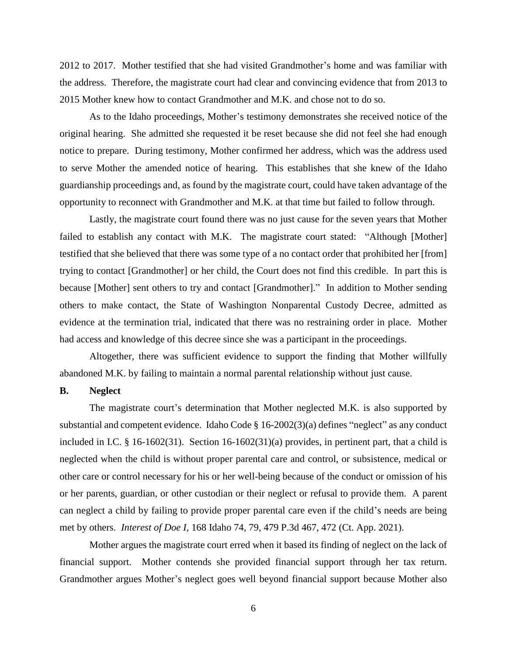2012 to 2017. Mother testified that she had visited Grandmother's home and was familiar with the address. Therefore, the magistrate court had clear and convincing evidence that from 2013 to 2015 Mother knew how to contact Grandmother and M.K. and chose not to do so.

As to the Idaho proceedings, Mother's testimony demonstrates she received notice of the original hearing. She admitted she requested it be reset because she did not feel she had enough notice to prepare. During testimony, Mother confirmed her address, which was the address used to serve Mother the amended notice of hearing. This establishes that she knew of the Idaho guardianship proceedings and, as found by the magistrate court, could have taken advantage of the opportunity to reconnect with Grandmother and M.K. at that time but failed to follow through.

Lastly, the magistrate court found there was no just cause for the seven years that Mother failed to establish any contact with M.K. The magistrate court stated: "Although [Mother] testified that she believed that there was some type of a no contact order that prohibited her [from] trying to contact [Grandmother] or her child, the Court does not find this credible. In part this is because [Mother] sent others to try and contact [Grandmother]." In addition to Mother sending others to make contact, the State of Washington Nonparental Custody Decree, admitted as evidence at the termination trial, indicated that there was no restraining order in place. Mother had access and knowledge of this decree since she was a participant in the proceedings.

Altogether, there was sufficient evidence to support the finding that Mother willfully abandoned M.K. by failing to maintain a normal parental relationship without just cause.

#### **B. Neglect**

The magistrate court's determination that Mother neglected M.K. is also supported by substantial and competent evidence. Idaho Code § 16-2002(3)(a) defines "neglect" as any conduct included in I.C. § 16-1602(31). Section 16-1602(31)(a) provides, in pertinent part, that a child is neglected when the child is without proper parental care and control, or subsistence, medical or other care or control necessary for his or her well-being because of the conduct or omission of his or her parents, guardian, or other custodian or their neglect or refusal to provide them. A parent can neglect a child by failing to provide proper parental care even if the child's needs are being met by others. *Interest of Doe I*, 168 Idaho 74, 79, 479 P.3d 467, 472 (Ct. App. 2021).

Mother argues the magistrate court erred when it based its finding of neglect on the lack of financial support. Mother contends she provided financial support through her tax return. Grandmother argues Mother's neglect goes well beyond financial support because Mother also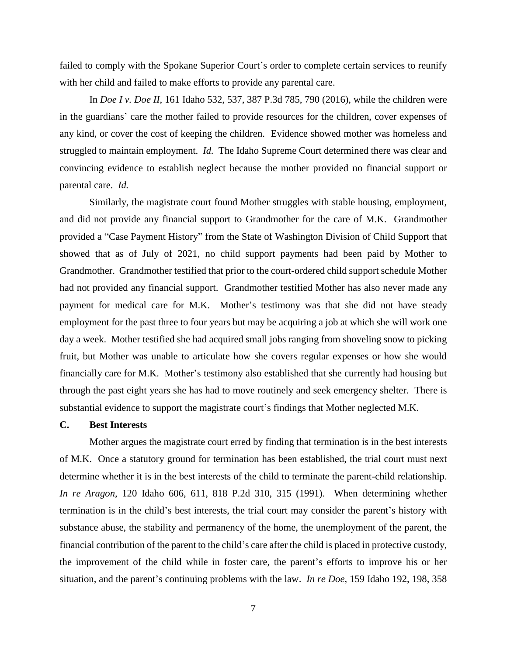failed to comply with the Spokane Superior Court's order to complete certain services to reunify with her child and failed to make efforts to provide any parental care.

In *Doe I v. Doe II*, 161 Idaho 532, 537, 387 P.3d 785, 790 (2016), while the children were in the guardians' care the mother failed to provide resources for the children, cover expenses of any kind, or cover the cost of keeping the children. Evidence showed mother was homeless and struggled to maintain employment. *Id.* The Idaho Supreme Court determined there was clear and convincing evidence to establish neglect because the mother provided no financial support or parental care. *Id.*

Similarly, the magistrate court found Mother struggles with stable housing, employment, and did not provide any financial support to Grandmother for the care of M.K. Grandmother provided a "Case Payment History" from the State of Washington Division of Child Support that showed that as of July of 2021, no child support payments had been paid by Mother to Grandmother. Grandmother testified that prior to the court-ordered child support schedule Mother had not provided any financial support. Grandmother testified Mother has also never made any payment for medical care for M.K. Mother's testimony was that she did not have steady employment for the past three to four years but may be acquiring a job at which she will work one day a week. Mother testified she had acquired small jobs ranging from shoveling snow to picking fruit, but Mother was unable to articulate how she covers regular expenses or how she would financially care for M.K. Mother's testimony also established that she currently had housing but through the past eight years she has had to move routinely and seek emergency shelter. There is substantial evidence to support the magistrate court's findings that Mother neglected M.K.

# **C. Best Interests**

Mother argues the magistrate court erred by finding that termination is in the best interests of M.K. Once a statutory ground for termination has been established, the trial court must next determine whether it is in the best interests of the child to terminate the parent-child relationship. *In re Aragon*, 120 Idaho 606, 611, 818 P.2d 310, 315 (1991). When determining whether termination is in the child's best interests, the trial court may consider the parent's history with substance abuse, the stability and permanency of the home, the unemployment of the parent, the financial contribution of the parent to the child's care after the child is placed in protective custody, the improvement of the child while in foster care, the parent's efforts to improve his or her situation, and the parent's continuing problems with the law. *In re Doe*, 159 Idaho 192, 198, 358